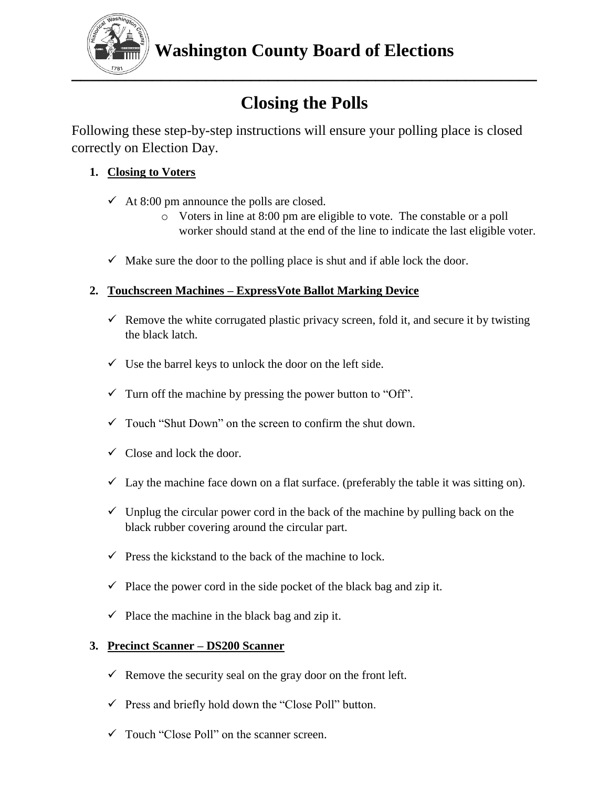

# **Closing the Polls**

Following these step-by-step instructions will ensure your polling place is closed correctly on Election Day.

# **1. Closing to Voters**

- $\checkmark$  At 8:00 pm announce the polls are closed.
	- o Voters in line at 8:00 pm are eligible to vote. The constable or a poll worker should stand at the end of the line to indicate the last eligible voter.
- $\checkmark$  Make sure the door to the polling place is shut and if able lock the door.

## **2. Touchscreen Machines – ExpressVote Ballot Marking Device**

- Remove the white corrugated plastic privacy screen, fold it, and secure it by twisting the black latch.
- $\checkmark$  Use the barrel keys to unlock the door on the left side.
- $\checkmark$  Turn off the machine by pressing the power button to "Off".
- $\checkmark$  Touch "Shut Down" on the screen to confirm the shut down.
- $\checkmark$  Close and lock the door.
- $\checkmark$  Lay the machine face down on a flat surface. (preferably the table it was sitting on).
- $\checkmark$  Unplug the circular power cord in the back of the machine by pulling back on the black rubber covering around the circular part.
- $\checkmark$  Press the kickstand to the back of the machine to lock.
- $\checkmark$  Place the power cord in the side pocket of the black bag and zip it.
- $\checkmark$  Place the machine in the black bag and zip it.

## **3. Precinct Scanner – DS200 Scanner**

- $\checkmark$  Remove the security seal on the gray door on the front left.
- $\checkmark$  Press and briefly hold down the "Close Poll" button.
- $\checkmark$  Touch "Close Poll" on the scanner screen.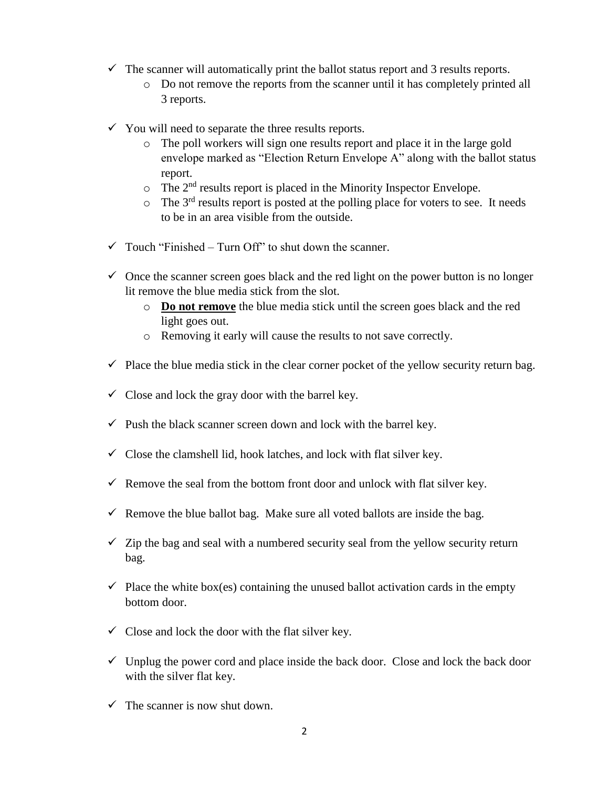- $\checkmark$  The scanner will automatically print the ballot status report and 3 results reports.
	- o Do not remove the reports from the scanner until it has completely printed all 3 reports.
- $\checkmark$  You will need to separate the three results reports.
	- o The poll workers will sign one results report and place it in the large gold envelope marked as "Election Return Envelope A" along with the ballot status report.
	- $\circ$  The 2<sup>nd</sup> results report is placed in the Minority Inspector Envelope.
	- $\circ$  The 3<sup>rd</sup> results report is posted at the polling place for voters to see. It needs to be in an area visible from the outside.
- $\checkmark$  Touch "Finished Turn Off" to shut down the scanner.
- $\checkmark$  Once the scanner screen goes black and the red light on the power button is no longer lit remove the blue media stick from the slot.
	- o **Do not remove** the blue media stick until the screen goes black and the red light goes out.
	- o Removing it early will cause the results to not save correctly.
- $\checkmark$  Place the blue media stick in the clear corner pocket of the yellow security return bag.
- $\checkmark$  Close and lock the gray door with the barrel key.
- $\checkmark$  Push the black scanner screen down and lock with the barrel key.
- $\checkmark$  Close the clamshell lid, hook latches, and lock with flat silver key.
- Remove the seal from the bottom front door and unlock with flat silver key.
- Remove the blue ballot bag. Make sure all voted ballots are inside the bag.
- $\checkmark$  Zip the bag and seal with a numbered security seal from the yellow security return bag.
- $\checkmark$  Place the white box(es) containing the unused ballot activation cards in the empty bottom door.
- $\checkmark$  Close and lock the door with the flat silver key.
- $\checkmark$  Unplug the power cord and place inside the back door. Close and lock the back door with the silver flat key.
- $\checkmark$  The scanner is now shut down.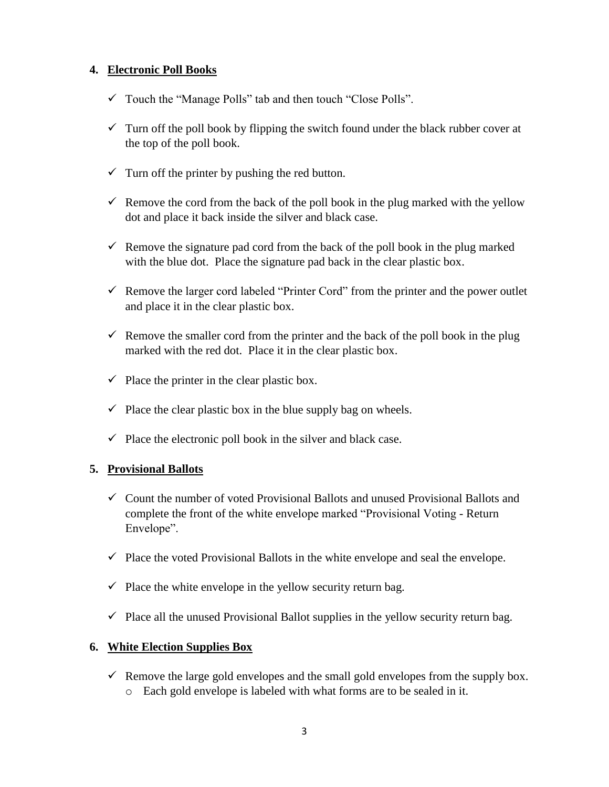#### **4. Electronic Poll Books**

- $\checkmark$  Touch the "Manage Polls" tab and then touch "Close Polls".
- $\checkmark$  Turn off the poll book by flipping the switch found under the black rubber cover at the top of the poll book.
- $\checkmark$  Turn off the printer by pushing the red button.
- Remove the cord from the back of the poll book in the plug marked with the yellow dot and place it back inside the silver and black case.
- Remove the signature pad cord from the back of the poll book in the plug marked with the blue dot. Place the signature pad back in the clear plastic box.
- $\checkmark$  Remove the larger cord labeled "Printer Cord" from the printer and the power outlet and place it in the clear plastic box.
- Remove the smaller cord from the printer and the back of the poll book in the plug marked with the red dot. Place it in the clear plastic box.
- $\checkmark$  Place the printer in the clear plastic box.
- $\checkmark$  Place the clear plastic box in the blue supply bag on wheels.
- $\checkmark$  Place the electronic poll book in the silver and black case.

#### **5. Provisional Ballots**

- $\checkmark$  Count the number of voted Provisional Ballots and unused Provisional Ballots and complete the front of the white envelope marked "Provisional Voting - Return Envelope".
- $\checkmark$  Place the voted Provisional Ballots in the white envelope and seal the envelope.
- $\checkmark$  Place the white envelope in the yellow security return bag.
- $\checkmark$  Place all the unused Provisional Ballot supplies in the yellow security return bag.

#### **6. White Election Supplies Box**

- Remove the large gold envelopes and the small gold envelopes from the supply box.
	- o Each gold envelope is labeled with what forms are to be sealed in it.